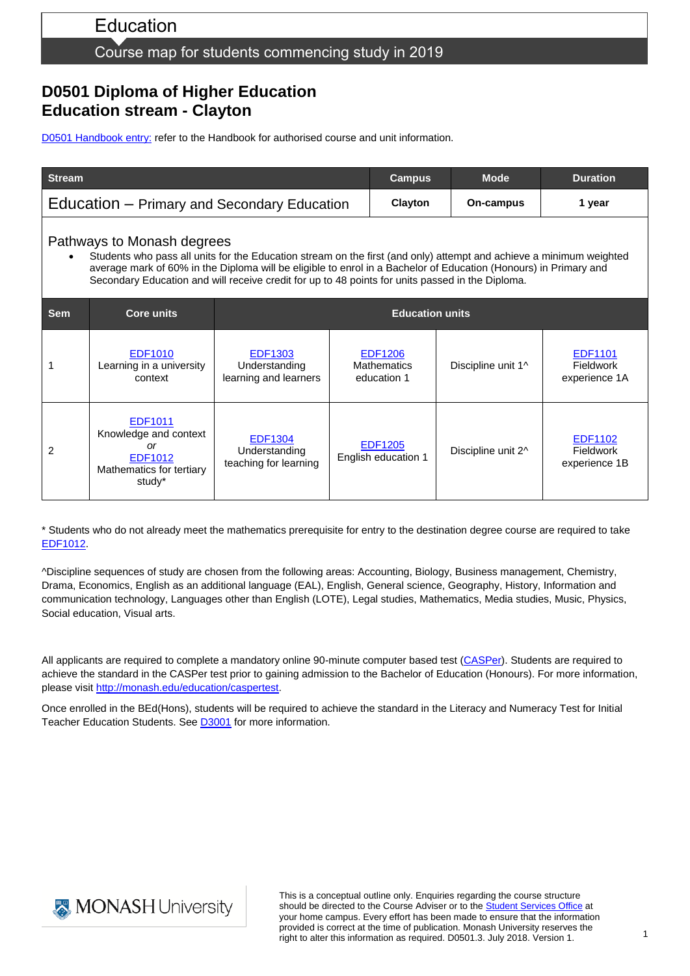# Education

### Course map for students commencing study in 2019

# **D0501 Diploma of Higher Education Education stream - Clayton**

[D0501 Handbook entry:](http://www.monash.edu.au/pubs/2019handbooks/courses/D0501.html) refer to the Handbook for authorised course and unit information.

| <b>Stream</b>                                                                                                                                                                                                                                                                                                                                                             |                                                                                                |                                                          |  | <b>Campus</b>                                       |  | <b>Mode</b>        | <b>Duration</b>                              |
|---------------------------------------------------------------------------------------------------------------------------------------------------------------------------------------------------------------------------------------------------------------------------------------------------------------------------------------------------------------------------|------------------------------------------------------------------------------------------------|----------------------------------------------------------|--|-----------------------------------------------------|--|--------------------|----------------------------------------------|
| Education – Primary and Secondary Education                                                                                                                                                                                                                                                                                                                               |                                                                                                |                                                          |  | Clayton                                             |  | On-campus          | 1 year                                       |
| Pathways to Monash degrees<br>Students who pass all units for the Education stream on the first (and only) attempt and achieve a minimum weighted<br>average mark of 60% in the Diploma will be eligible to enrol in a Bachelor of Education (Honours) in Primary and<br>Secondary Education and will receive credit for up to 48 points for units passed in the Diploma. |                                                                                                |                                                          |  |                                                     |  |                    |                                              |
| <b>Sem</b>                                                                                                                                                                                                                                                                                                                                                                | <b>Core units</b>                                                                              | <b>Education units</b>                                   |  |                                                     |  |                    |                                              |
|                                                                                                                                                                                                                                                                                                                                                                           | EDF1010<br>Learning in a university<br>context                                                 | EDF1303<br>Understanding<br>learning and learners        |  | <b>EDF1206</b><br><b>Mathematics</b><br>education 1 |  | Discipline unit 1^ | EDF1101<br><b>Fieldwork</b><br>experience 1A |
| 2                                                                                                                                                                                                                                                                                                                                                                         | <b>EDF1011</b><br>Knowledge and context<br>or<br>EDF1012<br>Mathematics for tertiary<br>study* | <b>EDF1304</b><br>Understanding<br>teaching for learning |  | <b>EDF1205</b><br>English education 1               |  | Discipline unit 2^ | EDF1102<br><b>Fieldwork</b><br>experience 1B |

\* Students who do not already meet the mathematics prerequisite for entry to the destination degree course are required to take [EDF1012.](http://www.monash.edu.au/pubs/handbooks/units/EDF1012.html)

^Discipline sequences of study are chosen from the following areas: Accounting, Biology, Business management, Chemistry, Drama, Economics, English as an additional language (EAL), English, General science, Geography, History, Information and communication technology, Languages other than English (LOTE), Legal studies, Mathematics, Media studies, Music, Physics, Social education, Visual arts.

All applicants are required to complete a mandatory online 90-minute computer based test [\(CASPer\)](https://takecasper.com/). Students are required to achieve the standard in the CASPer test prior to gaining admission to the Bachelor of Education (Honours). For more information, please visit [http://monash.edu/education/caspertest.](http://monash.edu/education/caspertest)

Once enrolled in the BEd(Hons), students will be required to achieve the standard in the Literacy and Numeracy Test for Initial Teacher Education Students. See [D3001](https://www.monash.edu.au/pubs/handbooks/courses/D3001.html) for more information.



This is a conceptual outline only. Enquiries regarding the course structure should be directed to the Course Adviser or to the **Student Services Office** at your home campus. Every effort has been made to ensure that the information provided is correct at the time of publication. Monash University reserves the right to alter this information as required. D0501.3. July 2018. Version 1.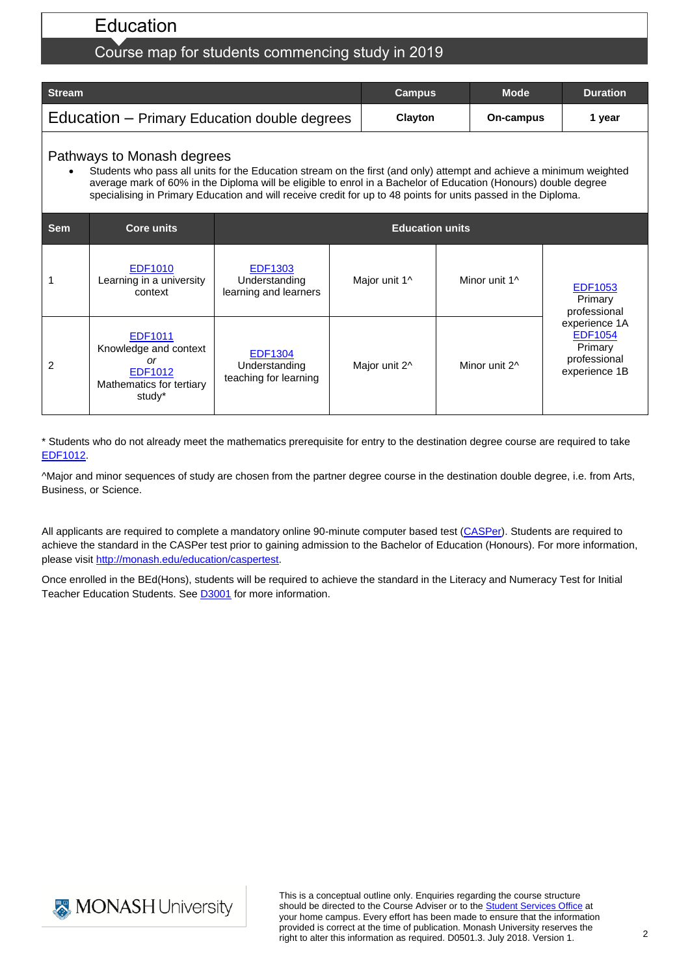# Education

## Course map for students commencing study in 2019

| <b>Stream</b>                                | <b>Campus</b>  | <b>Mode</b> | <b>Duration</b> |
|----------------------------------------------|----------------|-------------|-----------------|
| Education – Primary Education double degrees | <b>Clavton</b> | On-campus   | vear            |

#### Pathways to Monash degrees

 Students who pass all units for the Education stream on the first (and only) attempt and achieve a minimum weighted average mark of 60% in the Diploma will be eligible to enrol in a Bachelor of Education (Honours) double degree specialising in Primary Education and will receive credit for up to 48 points for units passed in the Diploma.

| <b>Sem</b> | <b>Core units</b>                                                                              | <b>Education units</b>                                   |               |               |                                                                             |
|------------|------------------------------------------------------------------------------------------------|----------------------------------------------------------|---------------|---------------|-----------------------------------------------------------------------------|
|            | <b>EDF1010</b><br>Learning in a university<br>context                                          | <b>EDF1303</b><br>Understanding<br>learning and learners | Major unit 1^ | Minor unit 1^ | <b>EDF1053</b><br>Primary<br>professional                                   |
| 2          | EDF1011<br>Knowledge and context<br>or<br><b>EDF1012</b><br>Mathematics for tertiary<br>study* | <b>EDF1304</b><br>Understanding<br>teaching for learning | Major unit 2^ | Minor unit 2^ | experience 1A<br><b>EDF1054</b><br>Primary<br>professional<br>experience 1B |

\* Students who do not already meet the mathematics prerequisite for entry to the destination degree course are required to take [EDF1012.](http://www.monash.edu.au/pubs/handbooks/units/EDF1012.html)

^Major and minor sequences of study are chosen from the partner degree course in the destination double degree, i.e. from Arts, Business, or Science.

All applicants are required to complete a mandatory online 90-minute computer based test [\(CASPer\)](https://takecasper.com/). Students are required to achieve the standard in the CASPer test prior to gaining admission to the Bachelor of Education (Honours). For more information, please visit [http://monash.edu/education/caspertest.](http://monash.edu/education/caspertest)

Once enrolled in the BEd(Hons), students will be required to achieve the standard in the Literacy and Numeracy Test for Initial Teacher Education Students. See [D3001](https://www.monash.edu.au/pubs/handbooks/courses/D3001.html) for more information.